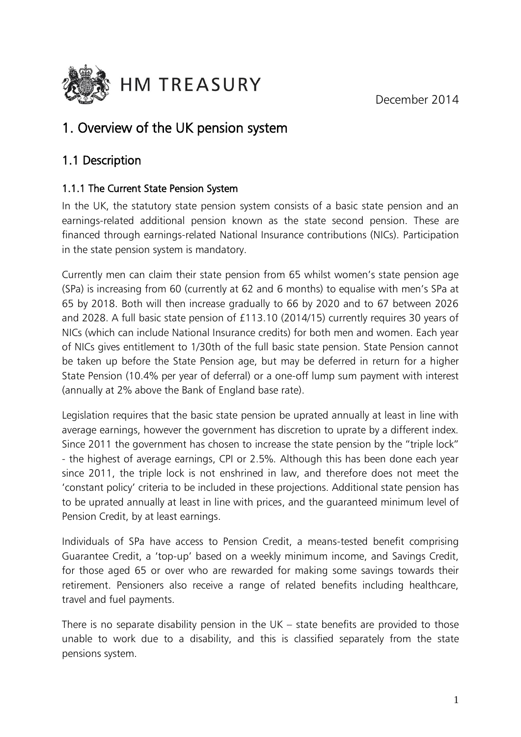December 2014



# 1. Overview of the UK pension system

## 1.1 Description

### 1.1.1 The Current State Pension System

In the UK, the statutory state pension system consists of a basic state pension and an earnings-related additional pension known as the state second pension. These are financed through earnings-related National Insurance contributions (NICs). Participation in the state pension system is mandatory.

Currently men can claim their state pension from 65 whilst women's state pension age (SPa) is increasing from 60 (currently at 62 and 6 months) to equalise with men's SPa at 65 by 2018. Both will then increase gradually to 66 by 2020 and to 67 between 2026 and 2028. A full basic state pension of £113.10 (2014/15) currently requires 30 years of NICs (which can include National Insurance credits) for both men and women. Each year of NICs gives entitlement to 1/30th of the full basic state pension. State Pension cannot be taken up before the State Pension age, but may be deferred in return for a higher State Pension (10.4% per year of deferral) or a one-off lump sum payment with interest (annually at 2% above the Bank of England base rate).

Legislation requires that the basic state pension be uprated annually at least in line with average earnings, however the government has discretion to uprate by a different index. Since 2011 the government has chosen to increase the state pension by the "triple lock" - the highest of average earnings, CPI or 2.5%. Although this has been done each year since 2011, the triple lock is not enshrined in law, and therefore does not meet the 'constant policy' criteria to be included in these projections. Additional state pension has to be uprated annually at least in line with prices, and the guaranteed minimum level of Pension Credit, by at least earnings.

Individuals of SPa have access to Pension Credit, a means-tested benefit comprising Guarantee Credit, a 'top-up' based on a weekly minimum income, and Savings Credit, for those aged 65 or over who are rewarded for making some savings towards their retirement. Pensioners also receive a range of related benefits including healthcare, travel and fuel payments.

There is no separate disability pension in the UK – state benefits are provided to those unable to work due to a disability, and this is classified separately from the state pensions system.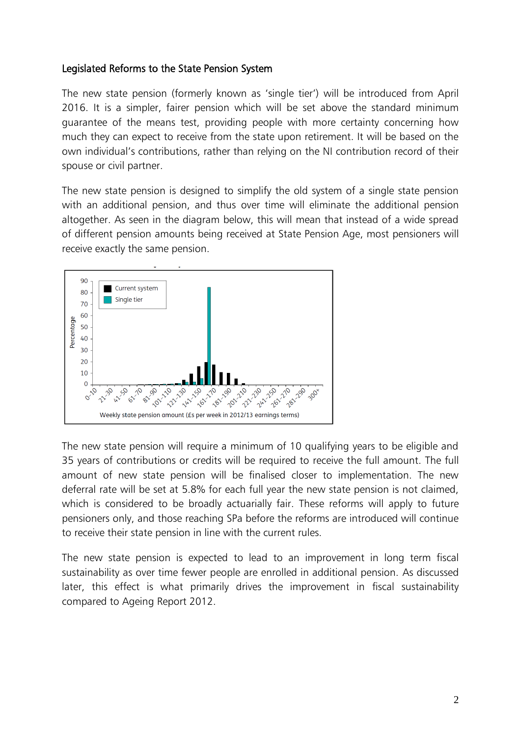#### Legislated Reforms to the State Pension System

The new state pension (formerly known as 'single tier') will be introduced from April 2016. It is a simpler, fairer pension which will be set above the standard minimum guarantee of the means test, providing people with more certainty concerning how much they can expect to receive from the state upon retirement. It will be based on the own individual's contributions, rather than relying on the NI contribution record of their spouse or civil partner.

The new state pension is designed to simplify the old system of a single state pension with an additional pension, and thus over time will eliminate the additional pension altogether. As seen in the diagram below, this will mean that instead of a wide spread of different pension amounts being received at State Pension Age, most pensioners will receive exactly the same pension.



The new state pension will require a minimum of 10 qualifying years to be eligible and 35 years of contributions or credits will be required to receive the full amount. The full amount of new state pension will be finalised closer to implementation. The new deferral rate will be set at 5.8% for each full year the new state pension is not claimed, which is considered to be broadly actuarially fair. These reforms will apply to future pensioners only, and those reaching SPa before the reforms are introduced will continue to receive their state pension in line with the current rules.

The new state pension is expected to lead to an improvement in long term fiscal sustainability as over time fewer people are enrolled in additional pension. As discussed later, this effect is what primarily drives the improvement in fiscal sustainability compared to Ageing Report 2012.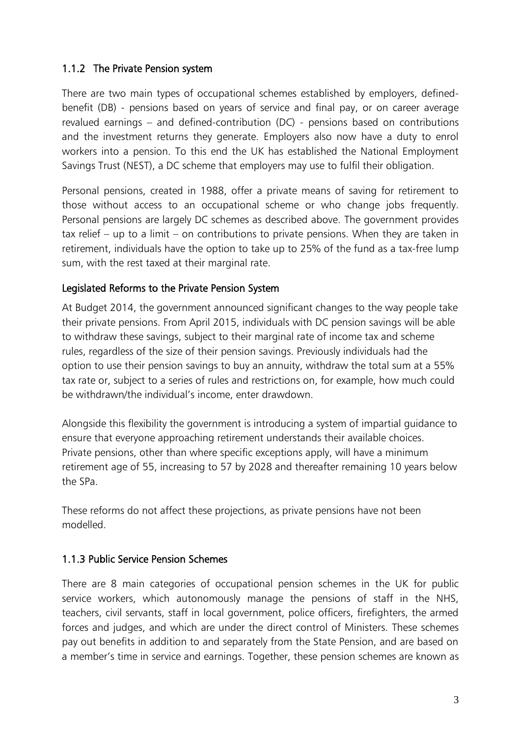### 1.1.2 The Private Pension system

There are two main types of occupational schemes established by employers, definedbenefit (DB) - pensions based on years of service and final pay, or on career average revalued earnings – and defined-contribution (DC) - pensions based on contributions and the investment returns they generate. Employers also now have a duty to enrol workers into a pension. To this end the UK has established the National Employment Savings Trust (NEST), a DC scheme that employers may use to fulfil their obligation.

Personal pensions, created in 1988, offer a private means of saving for retirement to those without access to an occupational scheme or who change jobs frequently. Personal pensions are largely DC schemes as described above. The government provides tax relief – up to a limit – on contributions to private pensions. When they are taken in retirement, individuals have the option to take up to 25% of the fund as a tax-free lump sum, with the rest taxed at their marginal rate.

### Legislated Reforms to the Private Pension System

At Budget 2014, the government announced significant changes to the way people take their private pensions. From April 2015, individuals with DC pension savings will be able to withdraw these savings, subject to their marginal rate of income tax and scheme rules, regardless of the size of their pension savings. Previously individuals had the option to use their pension savings to buy an annuity, withdraw the total sum at a 55% tax rate or, subject to a series of rules and restrictions on, for example, how much could be withdrawn/the individual's income, enter drawdown.

Alongside this flexibility the government is introducing a system of impartial guidance to ensure that everyone approaching retirement understands their available choices. Private pensions, other than where specific exceptions apply, will have a minimum retirement age of 55, increasing to 57 by 2028 and thereafter remaining 10 years below the SPa.

These reforms do not affect these projections, as private pensions have not been modelled.

#### 1.1.3 Public Service Pension Schemes

There are 8 main categories of occupational pension schemes in the UK for public service workers, which autonomously manage the pensions of staff in the NHS, teachers, civil servants, staff in local government, police officers, firefighters, the armed forces and judges, and which are under the direct control of Ministers. These schemes pay out benefits in addition to and separately from the State Pension, and are based on a member's time in service and earnings. Together, these pension schemes are known as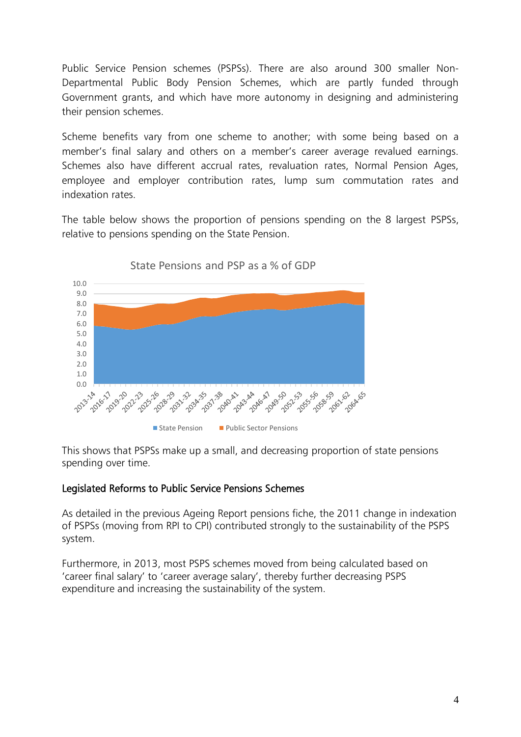Public Service Pension schemes (PSPSs). There are also around 300 smaller Non-Departmental Public Body Pension Schemes, which are partly funded through Government grants, and which have more autonomy in designing and administering their pension schemes.

Scheme benefits vary from one scheme to another; with some being based on a member's final salary and others on a member's career average revalued earnings. Schemes also have different accrual rates, revaluation rates, Normal Pension Ages, employee and employer contribution rates, lump sum commutation rates and indexation rates.

The table below shows the proportion of pensions spending on the 8 largest PSPSs, relative to pensions spending on the State Pension.



State Pensions and PSP as a % of GDP

This shows that PSPSs make up a small, and decreasing proportion of state pensions spending over time.

#### Legislated Reforms to Public Service Pensions Schemes

As detailed in the previous Ageing Report pensions fiche, the 2011 change in indexation of PSPSs (moving from RPI to CPI) contributed strongly to the sustainability of the PSPS system.

Furthermore, in 2013, most PSPS schemes moved from being calculated based on 'career final salary' to 'career average salary', thereby further decreasing PSPS expenditure and increasing the sustainability of the system.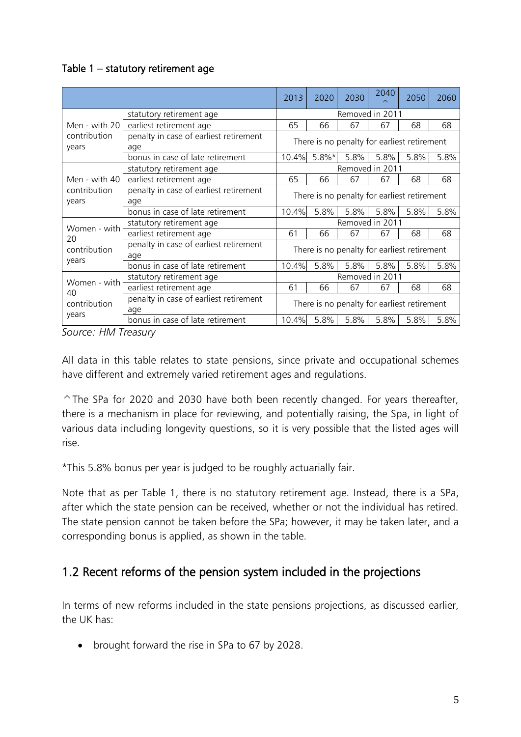### Table 1 – statutory retirement age

|                                                                        |                                               | 2013            | 2020     | 2030                                        | 2040                                        | 2050 | 2060 |  |  |
|------------------------------------------------------------------------|-----------------------------------------------|-----------------|----------|---------------------------------------------|---------------------------------------------|------|------|--|--|
|                                                                        | statutory retirement age                      |                 |          |                                             | Removed in 2011                             |      |      |  |  |
| Men - with 20                                                          | earliest retirement age                       | 65              | 66       | 67                                          | 67                                          | 68   | 68   |  |  |
| contribution<br>years                                                  | penalty in case of earliest retirement<br>age |                 |          |                                             | There is no penalty for earliest retirement |      |      |  |  |
|                                                                        | bonus in case of late retirement              | 10.4%           | $5.8\%*$ | 5.8%                                        | 5.8%                                        | 5.8% | 5.8% |  |  |
|                                                                        | statutory retirement age                      |                 |          |                                             | Removed in 2011                             |      |      |  |  |
| Men - with 40                                                          | earliest retirement age                       | 65              | 66       | 67                                          | 67                                          | 68   | 68   |  |  |
| penalty in case of earliest retirement<br>contribution<br>years<br>age |                                               |                 |          | There is no penalty for earliest retirement |                                             |      |      |  |  |
| bonus in case of late retirement                                       |                                               | 10.4%           | 5.8%     | 5.8%                                        | 5.8%                                        | 5.8% | 5.8% |  |  |
| Women - with                                                           | statutory retirement age                      | Removed in 2011 |          |                                             |                                             |      |      |  |  |
| 20                                                                     | earliest retirement age                       | 61              | 66       | 67                                          | 67                                          | 68   | 68   |  |  |
| contribution                                                           | penalty in case of earliest retirement<br>age |                 |          |                                             | There is no penalty for earliest retirement |      |      |  |  |
| years                                                                  | bonus in case of late retirement              | 10.4%           | 5.8%     | 5.8%                                        | 5.8%                                        | 5.8% | 5.8% |  |  |
| Women - with                                                           | statutory retirement age                      |                 |          |                                             | Removed in 2011                             |      |      |  |  |
|                                                                        | earliest retirement age                       | 61              | 66       | 67                                          | 67                                          | 68   | 68   |  |  |
| 40<br>contribution                                                     | penalty in case of earliest retirement<br>age |                 |          |                                             | There is no penalty for earliest retirement |      |      |  |  |
| years                                                                  | bonus in case of late retirement              | 10.4%           | 5.8%     | 5.8%                                        | 5.8%                                        | 5.8% | 5.8% |  |  |

*Source: HM Treasury*

All data in this table relates to state pensions, since private and occupational schemes have different and extremely varied retirement ages and regulations.

 $\hat{\ }$ The SPa for 2020 and 2030 have both been recently changed. For years thereafter, there is a mechanism in place for reviewing, and potentially raising, the Spa, in light of various data including longevity questions, so it is very possible that the listed ages will rise.

\*This 5.8% bonus per year is judged to be roughly actuarially fair.

Note that as per Table 1, there is no statutory retirement age. Instead, there is a SPa, after which the state pension can be received, whether or not the individual has retired. The state pension cannot be taken before the SPa; however, it may be taken later, and a corresponding bonus is applied, as shown in the table.

### 1.2 Recent reforms of the pension system included in the projections

In terms of new reforms included in the state pensions projections, as discussed earlier, the UK has:

• brought forward the rise in SPa to 67 by 2028.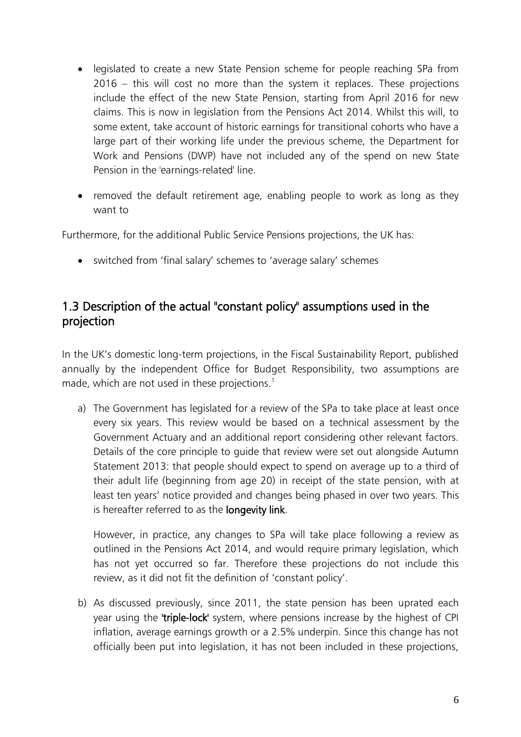- legislated to create a new State Pension scheme for people reaching SPa from 2016 – this will cost no more than the system it replaces. These projections include the effect of the new State Pension, starting from April 2016 for new claims. This is now in legislation from the Pensions Act 2014. Whilst this will, to some extent, take account of historic earnings for transitional cohorts who have a large part of their working life under the previous scheme, the Department for Work and Pensions (DWP) have not included any of the spend on new State Pension in the 'earnings-related' line.
- removed the default retirement age, enabling people to work as long as they want to

Furthermore, for the additional Public Service Pensions projections, the UK has:

switched from 'final salary' schemes to 'average salary' schemes

### 1.3 Description of the actual "constant policy" assumptions used in the projection

In the UK's domestic long-term projections, in the Fiscal Sustainability Report, published annually by the independent Office for Budget Responsibility, two assumptions are made, which are not used in these projections.<sup>1</sup>

a) The Government has legislated for a review of the SPa to take place at least once every six years. This review would be based on a technical assessment by the Government Actuary and an additional report considering other relevant factors. Details of the core principle to guide that review were set out alongside Autumn Statement 2013: that people should expect to spend on average up to a third of their adult life (beginning from age 20) in receipt of the state pension, with at least ten years' notice provided and changes being phased in over two years. This is hereafter referred to as the longevity link.

However, in practice, any changes to SPa will take place following a review as outlined in the Pensions Act 2014, and would require primary legislation, which has not yet occurred so far. Therefore these projections do not include this review, as it did not fit the definition of 'constant policy'.

b) As discussed previously, since 2011, the state pension has been uprated each year using the 'triple-lock' system, where pensions increase by the highest of CPI inflation, average earnings growth or a 2.5% underpin. Since this change has not officially been put into legislation, it has not been included in these projections,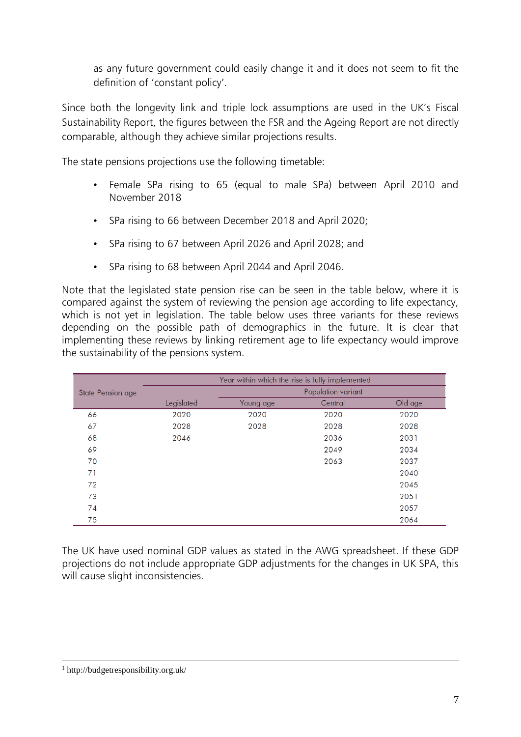as any future government could easily change it and it does not seem to fit the definition of 'constant policy'.

Since both the longevity link and triple lock assumptions are used in the UK's Fiscal Sustainability Report, the figures between the FSR and the Ageing Report are not directly comparable, although they achieve similar projections results.

The state pensions projections use the following timetable:

- Female SPa rising to 65 (equal to male SPa) between April 2010 and November 2018
- SPa rising to 66 between December 2018 and April 2020;
- SPa rising to 67 between April 2026 and April 2028; and
- SPa rising to 68 between April 2044 and April 2046.

Note that the legislated state pension rise can be seen in the table below, where it is compared against the system of reviewing the pension age according to life expectancy, which is not yet in legislation. The table below uses three variants for these reviews depending on the possible path of demographics in the future. It is clear that implementing these reviews by linking retirement age to life expectancy would improve the sustainability of the pensions system.

|                   |            | Year within which the rise is fully implemented |         |         |
|-------------------|------------|-------------------------------------------------|---------|---------|
| State Pension age |            |                                                 |         |         |
|                   | Legislated | Young age                                       | Central | Old age |
| 66                | 2020       | 2020                                            | 2020    | 2020    |
| 67                | 2028       | 2028                                            | 2028    | 2028    |
| 68                | 2046       |                                                 | 2036    | 2031    |
| 69                |            |                                                 | 2049    | 2034    |
| 70                |            |                                                 | 2063    | 2037    |
| 71                |            |                                                 |         | 2040    |
| 72                |            |                                                 |         | 2045    |
| 73                |            |                                                 |         | 2051    |
| 74                |            |                                                 |         | 2057    |
| 75                |            |                                                 |         | 2064    |

The UK have used nominal GDP values as stated in the AWG spreadsheet. If these GDP projections do not include appropriate GDP adjustments for the changes in UK SPA, this will cause slight inconsistencies.

1

<sup>1</sup> http://budgetresponsibility.org.uk/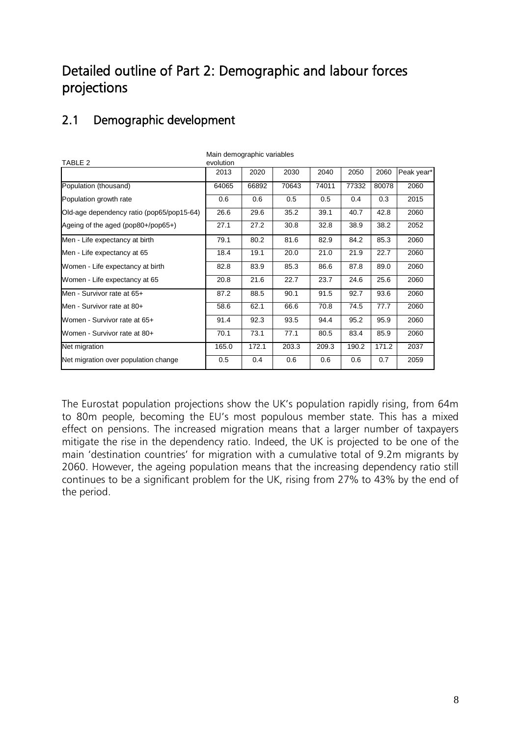# Detailed outline of Part 2: Demographic and labour forces projections

# 2.1 Demographic development

| TABLE 2                                   | main uchiyyiaphiic vanabics<br>evolution |       |       |       |       |       |            |  |  |  |
|-------------------------------------------|------------------------------------------|-------|-------|-------|-------|-------|------------|--|--|--|
|                                           | 2013                                     | 2020  | 2030  | 2040  | 2050  | 2060  | Peak year* |  |  |  |
| Population (thousand)                     | 64065                                    | 66892 | 70643 | 74011 | 77332 | 80078 | 2060       |  |  |  |
| Population growth rate                    | 0.6                                      | 0.6   | 0.5   | 0.5   | 0.4   | 0.3   | 2015       |  |  |  |
| Old-age dependency ratio (pop65/pop15-64) | 26.6                                     | 29.6  | 35.2  | 39.1  | 40.7  | 42.8  | 2060       |  |  |  |
| Ageing of the aged (pop80+/pop65+)        | 27.1                                     | 27.2  | 30.8  | 32.8  | 38.9  | 38.2  | 2052       |  |  |  |
| Men - Life expectancy at birth            | 79.1                                     | 80.2  | 81.6  | 82.9  | 84.2  | 85.3  | 2060       |  |  |  |
| Men - Life expectancy at 65               | 18.4                                     | 19.1  | 20.0  | 21.0  | 21.9  | 22.7  | 2060       |  |  |  |
| Women - Life expectancy at birth          | 82.8                                     | 83.9  | 85.3  | 86.6  | 87.8  | 89.0  | 2060       |  |  |  |
| Women - Life expectancy at 65             | 20.8                                     | 21.6  | 22.7  | 23.7  | 24.6  | 25.6  | 2060       |  |  |  |
| Men - Survivor rate at 65+                | 87.2                                     | 88.5  | 90.1  | 91.5  | 92.7  | 93.6  | 2060       |  |  |  |
| Men - Survivor rate at 80+                | 58.6                                     | 62.1  | 66.6  | 70.8  | 74.5  | 77.7  | 2060       |  |  |  |
| Women - Survivor rate at 65+              | 91.4                                     | 92.3  | 93.5  | 94.4  | 95.2  | 95.9  | 2060       |  |  |  |
| Women - Survivor rate at 80+              | 70.1                                     | 73.1  | 77.1  | 80.5  | 83.4  | 85.9  | 2060       |  |  |  |
| Net migration                             | 165.0                                    | 172.1 | 203.3 | 209.3 | 190.2 | 171.2 | 2037       |  |  |  |
| Net migration over population change      | 0.5                                      | 0.4   | 0.6   | 0.6   | 0.6   | 0.7   | 2059       |  |  |  |

Main demographic variables

The Eurostat population projections show the UK's population rapidly rising, from 64m to 80m people, becoming the EU's most populous member state. This has a mixed effect on pensions. The increased migration means that a larger number of taxpayers mitigate the rise in the dependency ratio. Indeed, the UK is projected to be one of the main 'destination countries' for migration with a cumulative total of 9.2m migrants by 2060. However, the ageing population means that the increasing dependency ratio still continues to be a significant problem for the UK, rising from 27% to 43% by the end of the period.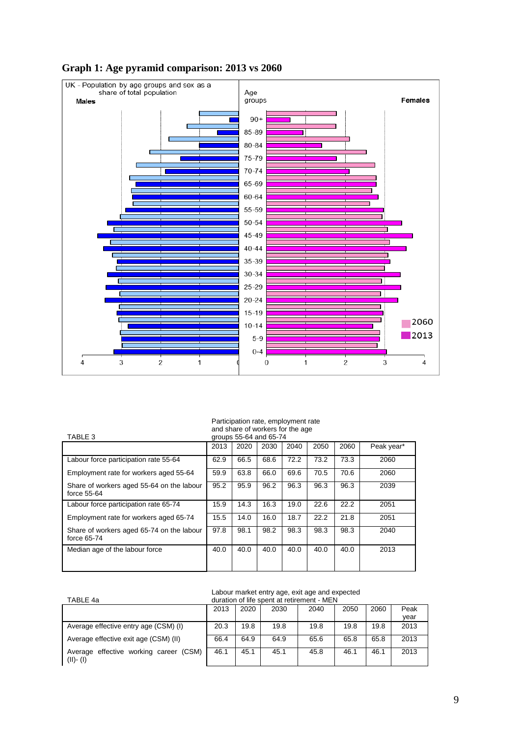

#### **Graph 1: Age pyramid comparison: 2013 vs 2060**

#### Participation rate, employment rate and share of workers for the age

| TABLE 3                                                  | groups 55-64 and 65-74 |      |      |      |      |      |            |  |  |
|----------------------------------------------------------|------------------------|------|------|------|------|------|------------|--|--|
|                                                          | 2013                   | 2020 | 2030 | 2040 | 2050 | 2060 | Peak year* |  |  |
| Labour force participation rate 55-64                    | 62.9                   | 66.5 | 68.6 | 72.2 | 73.2 | 73.3 | 2060       |  |  |
| Employment rate for workers aged 55-64                   | 59.9                   | 63.8 | 66.0 | 69.6 | 70.5 | 70.6 | 2060       |  |  |
| Share of workers aged 55-64 on the labour<br>force 55-64 | 95.2                   | 95.9 | 96.2 | 96.3 | 96.3 | 96.3 | 2039       |  |  |
| Labour force participation rate 65-74                    | 15.9                   | 14.3 | 16.3 | 19.0 | 22.6 | 22.2 | 2051       |  |  |
| Employment rate for workers aged 65-74                   | 15.5                   | 14.0 | 16.0 | 18.7 | 22.2 | 21.8 | 2051       |  |  |
| Share of workers aged 65-74 on the labour<br>force 65-74 | 97.8                   | 98.1 | 98.2 | 98.3 | 98.3 | 98.3 | 2040       |  |  |
| Median age of the labour force                           | 40.0                   | 40.0 | 40.0 | 40.0 | 40.0 | 40.0 | 2013       |  |  |

#### Labour market entry age, exit age and expected

| TABLE 4a                                                    | $ \frac{1}{2}$ $\frac{1}{2}$ $\frac{1}{2}$ $\frac{1}{2}$ $\frac{1}{2}$ $\frac{1}{2}$ $\frac{1}{2}$ $\frac{1}{2}$ $\frac{1}{2}$ $\frac{1}{2}$ $\frac{1}{2}$ $\frac{1}{2}$ $\frac{1}{2}$ $\frac{1}{2}$ $\frac{1}{2}$ $\frac{1}{2}$ $\frac{1}{2}$ $\frac{1}{2}$ $\frac{1}{2}$ $\frac{1}{2}$ $\frac{1}{2}$ $\frac{1}{2$<br>duration of life spent at retirement - MEN |      |      |      |      |      |      |  |
|-------------------------------------------------------------|-------------------------------------------------------------------------------------------------------------------------------------------------------------------------------------------------------------------------------------------------------------------------------------------------------------------------------------------------------------------|------|------|------|------|------|------|--|
|                                                             | 2013                                                                                                                                                                                                                                                                                                                                                              | 2020 | 2030 | 2040 | 2050 | 2060 | Peak |  |
|                                                             |                                                                                                                                                                                                                                                                                                                                                                   |      |      |      |      |      | year |  |
| Average effective entry age (CSM) (I)                       | 20.3                                                                                                                                                                                                                                                                                                                                                              | 19.8 | 19.8 | 19.8 | 19.8 | 19.8 | 2013 |  |
| Average effective exit age (CSM) (II)                       | 66.4                                                                                                                                                                                                                                                                                                                                                              | 64.9 | 64.9 | 65.6 | 65.8 | 65.8 | 2013 |  |
| Average effective working career<br>(CSM)<br>$(11)$ - $(1)$ | 46.1                                                                                                                                                                                                                                                                                                                                                              | 45.1 | 45.1 | 45.8 | 46.1 | 46.1 | 2013 |  |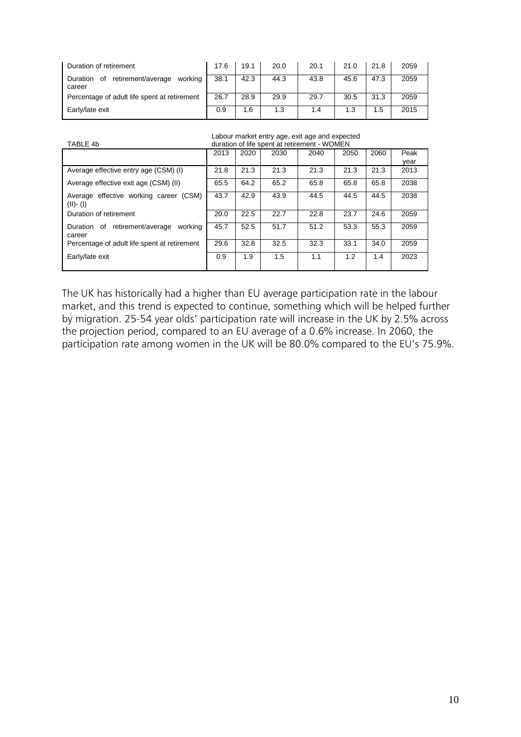| Duration of retirement                                           | 17.6 | 19.1 | 20.0 | 20.1 | 21.0 | 21.8 | 2059 |
|------------------------------------------------------------------|------|------|------|------|------|------|------|
| retirement/average<br>working<br>Οf<br><b>Duration</b><br>career | 38.1 | 42.3 | 44.3 | 43.8 | 45.6 | 47.3 | 2059 |
| Percentage of adult life spent at retirement                     | 26.7 | 28.9 | 29.9 | 29.7 | 30.5 | 31.3 | 2059 |
| Early/late exit                                                  | 0.9  | 1.6  | 1.3  | 1.4  | 1.3  | 1.5  | 2015 |

|  |  |  |  | Labour market entry age, exit age and expected |
|--|--|--|--|------------------------------------------------|
|  |  |  |  | .                                              |

|                                                          | Labour market entry age, exit age and expected |      |      |                                              |      |      |      |  |  |
|----------------------------------------------------------|------------------------------------------------|------|------|----------------------------------------------|------|------|------|--|--|
| TABLE 4b                                                 |                                                |      |      | duration of life spent at retirement - WOMEN |      |      |      |  |  |
|                                                          | 2013                                           | 2020 | 2030 | 2040                                         | 2050 | 2060 | Peak |  |  |
|                                                          |                                                |      |      |                                              |      |      | year |  |  |
| Average effective entry age (CSM) (I)                    | 21.8                                           | 21.3 | 21.3 | 21.3                                         | 21.3 | 21.3 | 2013 |  |  |
| Average effective exit age (CSM) (II)                    | 65.5                                           | 64.2 | 65.2 | 65.8                                         | 65.8 | 65.8 | 2038 |  |  |
| Average effective working career (CSM)<br>$(II)$ - $(I)$ | 43.7                                           | 42.9 | 43.9 | 44.5                                         | 44.5 | 44.5 | 2038 |  |  |
| Duration of retirement                                   | 20.0                                           | 22.5 | 22.7 | 22.8                                         | 23.7 | 24.6 | 2059 |  |  |
| retirement/average<br>working<br>Duration of<br>career   | 45.7                                           | 52.5 | 51.7 | 51.2                                         | 53.3 | 55.3 | 2059 |  |  |
| Percentage of adult life spent at retirement             | 29.6                                           | 32.8 | 32.5 | 32.3                                         | 33.1 | 34.0 | 2059 |  |  |
| Early/late exit                                          | 0.9                                            | 1.9  | 1.5  | 1.1                                          | 1.2  | 1.4  | 2023 |  |  |

The UK has historically had a higher than EU average participation rate in the labour market, and this trend is expected to continue, something which will be helped further by migration. 25-54 year olds' participation rate will increase in the UK by 2.5% across the projection period, compared to an EU average of a 0.6% increase. In 2060, the participation rate among women in the UK will be 80.0% compared to the EU's 75.9%.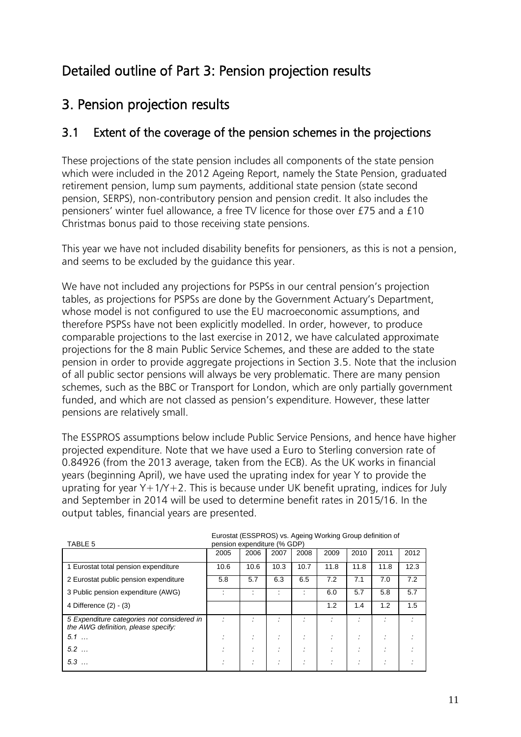# Detailed outline of Part 3: Pension projection results

# 3. Pension projection results

### 3.1 Extent of the coverage of the pension schemes in the projections

These projections of the state pension includes all components of the state pension which were included in the 2012 Ageing Report, namely the State Pension, graduated retirement pension, lump sum payments, additional state pension (state second pension, SERPS), non-contributory pension and pension credit. It also includes the pensioners' winter fuel allowance, a free TV licence for those over £75 and a £10 Christmas bonus paid to those receiving state pensions.

This year we have not included disability benefits for pensioners, as this is not a pension, and seems to be excluded by the guidance this year.

We have not included any projections for PSPSs in our central pension's projection tables, as projections for PSPSs are done by the Government Actuary's Department, whose model is not configured to use the EU macroeconomic assumptions, and therefore PSPSs have not been explicitly modelled. In order, however, to produce comparable projections to the last exercise in 2012, we have calculated approximate projections for the 8 main Public Service Schemes, and these are added to the state pension in order to provide aggregate projections in Section 3.5. Note that the inclusion of all public sector pensions will always be very problematic. There are many pension schemes, such as the BBC or Transport for London, which are only partially government funded, and which are not classed as pension's expenditure. However, these latter pensions are relatively small.

The ESSPROS assumptions below include Public Service Pensions, and hence have higher projected expenditure. Note that we have used a Euro to Sterling conversion rate of 0.84926 (from the 2013 average, taken from the ECB). As the UK works in financial years (beginning April), we have used the uprating index for year Y to provide the uprating for year  $Y+1/Y+2$ . This is because under UK benefit uprating, indices for July and September in 2014 will be used to determine benefit rates in 2015/16. In the output tables, financial years are presented.

| TABLE 5                                                                           | Eurostal (ESSPROS) VS. Ageing Working Group gennition of<br>pension expenditure (% GDP) |      |        |      |      |      |           |      |  |
|-----------------------------------------------------------------------------------|-----------------------------------------------------------------------------------------|------|--------|------|------|------|-----------|------|--|
|                                                                                   | 2005                                                                                    | 2006 | 2007   | 2008 | 2009 | 2010 | 2011      | 2012 |  |
| 1 Eurostat total pension expenditure                                              | 10.6                                                                                    | 10.6 | 10.3   | 10.7 | 11.8 | 11.8 | 11.8      | 12.3 |  |
| 2 Eurostat public pension expenditure                                             | 5.8                                                                                     | 5.7  | 6.3    | 6.5  | 7.2  | 7.1  | 7.0       | 7.2  |  |
| 3 Public pension expenditure (AWG)                                                |                                                                                         |      |        |      | 6.0  | 5.7  | 5.8       | 5.7  |  |
| 4 Difference (2) - (3)                                                            |                                                                                         |      |        |      | 1.2  | 1.4  | 1.2       | 1.5  |  |
| 5 Expenditure categories not considered in<br>the AWG definition, please specify: |                                                                                         |      |        |      |      |      |           |      |  |
| 5.1                                                                               |                                                                                         |      | $\sim$ |      |      |      | ٠         |      |  |
| 5.2                                                                               |                                                                                         |      |        |      |      |      |           |      |  |
| 5.3                                                                               |                                                                                         |      |        |      |      |      | $\bullet$ |      |  |

Eurostat (ESSPROS) vs. Ageing Working Group definition of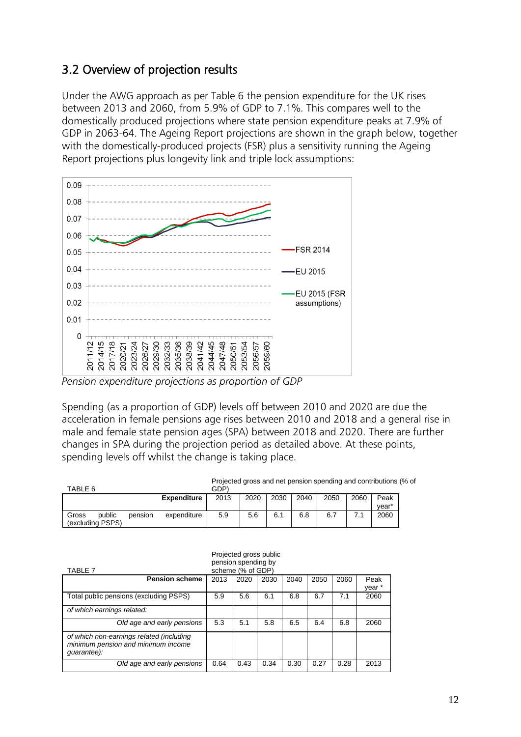## 3.2 Overview of projection results

Under the AWG approach as per Table 6 the pension expenditure for the UK rises between 2013 and 2060, from 5.9% of GDP to 7.1%. This compares well to the domestically produced projections where state pension expenditure peaks at 7.9% of GDP in 2063-64. The Ageing Report projections are shown in the graph below, together with the domestically-produced projects (FSR) plus a sensitivity running the Ageing Report projections plus longevity link and triple lock assumptions:



*Pension expenditure projections as proportion of GDP*

Spending (as a proportion of GDP) levels off between 2010 and 2020 are due the acceleration in female pensions age rises between 2010 and 2018 and a general rise in male and female state pension ages (SPA) between 2018 and 2020. There are further changes in SPA during the projection period as detailed above. At these points, spending levels off whilst the change is taking place.

| TABLE 6                             | Projected gross and net pension spending and contributions (% of<br>GDP) |                    |      |      |      |      |      |      |               |  |
|-------------------------------------|--------------------------------------------------------------------------|--------------------|------|------|------|------|------|------|---------------|--|
|                                     |                                                                          | <b>Expenditure</b> | 2013 | 2020 | 2030 | 2040 | 2050 | 2060 | Peak<br>vear* |  |
| public<br>Gross<br>(excluding PSPS) | pension                                                                  | expenditure        | 5.9  | 5.6  | 6.1  | 6.8  | 6.7  |      | 2060          |  |

| Projected gross public<br>pension spending by<br>scheme (% of GDP)<br>TABLE 7                 |      |      |      |      |      |      |                |  |
|-----------------------------------------------------------------------------------------------|------|------|------|------|------|------|----------------|--|
| <b>Pension scheme</b>                                                                         | 2013 | 2020 | 2030 | 2040 | 2050 | 2060 | Peak<br>year * |  |
| Total public pensions (excluding PSPS)                                                        | 5.9  | 5.6  | 6.1  | 6.8  | 6.7  | 7.1  | 2060           |  |
| of which earnings related:                                                                    |      |      |      |      |      |      |                |  |
| Old age and early pensions                                                                    | 5.3  | 5.1  | 5.8  | 6.5  | 6.4  | 6.8  | 2060           |  |
| of which non-earnings related (including<br>minimum pension and minimum income<br>guarantee): |      |      |      |      |      |      |                |  |
| Old age and early pensions                                                                    | 0.64 | 0.43 | 0.34 | 0.30 | 0.27 | 0.28 | 2013           |  |

12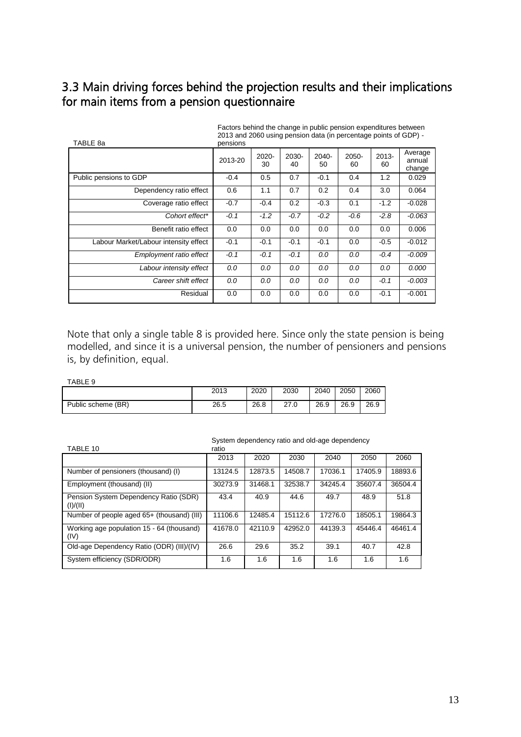### 3.3 Main driving forces behind the projection results and their implications for main items from a pension questionnaire

| TABLE 8a                              | 2013 and 2000 using pension data (in percentage points of GDF) -<br>pensions |                |             |                |             |                |                             |  |  |
|---------------------------------------|------------------------------------------------------------------------------|----------------|-------------|----------------|-------------|----------------|-----------------------------|--|--|
|                                       | 2013-20                                                                      | $2020 -$<br>30 | 2030-<br>40 | $2040 -$<br>50 | 2050-<br>60 | $2013 -$<br>60 | Average<br>annual<br>change |  |  |
| Public pensions to GDP                | $-0.4$                                                                       | 0.5            | 0.7         | $-0.1$         | 0.4         | 1.2            | 0.029                       |  |  |
| Dependency ratio effect               | 0.6                                                                          | 1.1            | 0.7         | 0.2            | 0.4         | 3.0            | 0.064                       |  |  |
| Coverage ratio effect                 | $-0.7$                                                                       | $-0.4$         | 0.2         | $-0.3$         | 0.1         | $-1.2$         | $-0.028$                    |  |  |
| Cohort effect*                        | $-0.1$                                                                       | $-1.2$         | $-0.7$      | $-0.2$         | $-0.6$      | $-2.8$         | -0.063                      |  |  |
| Benefit ratio effect                  | 0.0                                                                          | 0.0            | 0.0         | 0.0            | 0.0         | 0.0            | 0.006                       |  |  |
| Labour Market/Labour intensity effect | $-0.1$                                                                       | $-0.1$         | $-0.1$      | $-0.1$         | 0.0         | $-0.5$         | $-0.012$                    |  |  |
| Employment ratio effect               | $-0.1$                                                                       | $-0.1$         | $-0.1$      | 0.0            | 0.0         | $-0.4$         | $-0.009$                    |  |  |
| Labour intensity effect               | 0.0                                                                          | 0.0            | 0.0         | 0.0            | 0.0         | 0.0            | 0.000                       |  |  |
| Career shift effect                   | 0.0                                                                          | 0.0            | 0.0         | 0.0            | 0.0         | $-0.1$         | -0.003                      |  |  |
| Residual                              | 0.0                                                                          | 0.0            | 0.0         | 0.0            | 0.0         | $-0.1$         | $-0.001$                    |  |  |

Factors behind the change in public pension expenditures between 2013 and 2060 using pension data (in percentage points of GDP) -

Note that only a single table 8 is provided here. Since only the state pension is being modelled, and since it is a universal pension, the number of pensioners and pensions is, by definition, equal.

#### TABLE 9

|                    | 2013 | 2020 | 2030         | 2040 | 2050 | 2060 |
|--------------------|------|------|--------------|------|------|------|
| Public scheme (BR) | 26.5 | 26.8 | 27 O<br>27.U | 26.9 | 26.9 | 26.9 |

| TABLE 10                                          | ratio   |         |         |         |         |         |
|---------------------------------------------------|---------|---------|---------|---------|---------|---------|
|                                                   | 2013    | 2020    | 2030    | 2040    | 2050    | 2060    |
| Number of pensioners (thousand) (I)               | 13124.5 | 12873.5 | 14508.7 | 17036.1 | 17405.9 | 18893.6 |
| Employment (thousand) (II)                        | 30273.9 | 31468.1 | 32538.7 | 34245.4 | 35607.4 | 36504.4 |
| Pension System Dependency Ratio (SDR)<br>(I)/(II) | 43.4    | 40.9    | 44.6    | 49.7    | 48.9    | 51.8    |
| Number of people aged 65+ (thousand) (III)        | 11106.6 | 12485.4 | 15112.6 | 17276.0 | 18505.1 | 19864.3 |
| Working age population 15 - 64 (thousand)<br>(IV) | 41678.0 | 42110.9 | 42952.0 | 44139.3 | 45446.4 | 46461.4 |
| Old-age Dependency Ratio (ODR) (III)/(IV)         | 26.6    | 29.6    | 35.2    | 39.1    | 40.7    | 42.8    |
| System efficiency (SDR/ODR)                       | 1.6     | 1.6     | 1.6     | 1.6     | 1.6     | 1.6     |

#### System dependency ratio and old-age dependency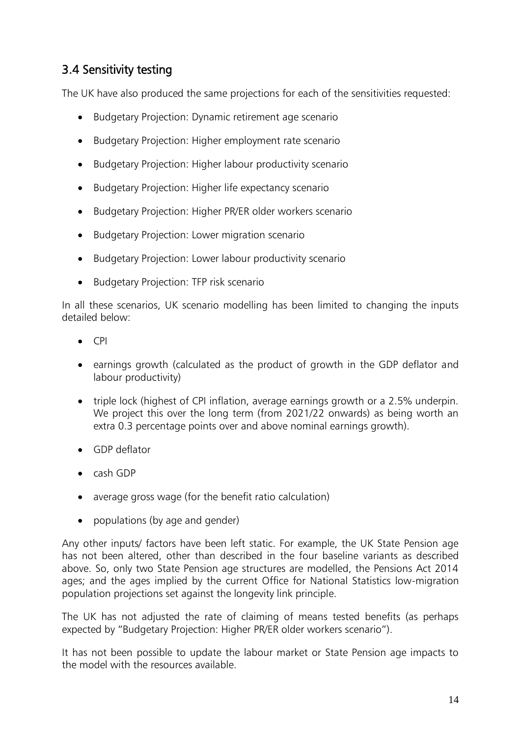### 3.4 Sensitivity testing

The UK have also produced the same projections for each of the sensitivities requested:

- Budgetary Projection: Dynamic retirement age scenario
- Budgetary Projection: Higher employment rate scenario
- Budgetary Projection: Higher labour productivity scenario
- Budgetary Projection: Higher life expectancy scenario
- Budgetary Projection: Higher PR/ER older workers scenario
- Budgetary Projection: Lower migration scenario
- Budgetary Projection: Lower labour productivity scenario
- **•** Budgetary Projection: TFP risk scenario

In all these scenarios, UK scenario modelling has been limited to changing the inputs detailed below:

- $\bullet$  CPI
- earnings growth (calculated as the product of growth in the GDP deflator and labour productivity)
- triple lock (highest of CPI inflation, average earnings growth or a 2.5% underpin. We project this over the long term (from 2021/22 onwards) as being worth an extra 0.3 percentage points over and above nominal earnings growth).
- GDP deflator
- cash GDP
- average gross wage (for the benefit ratio calculation)
- populations (by age and gender)

Any other inputs/ factors have been left static. For example, the UK State Pension age has not been altered, other than described in the four baseline variants as described above. So, only two State Pension age structures are modelled, the Pensions Act 2014 ages; and the ages implied by the current Office for National Statistics low-migration population projections set against the longevity link principle.

The UK has not adjusted the rate of claiming of means tested benefits (as perhaps expected by "Budgetary Projection: Higher PR/ER older workers scenario").

It has not been possible to update the labour market or State Pension age impacts to the model with the resources available.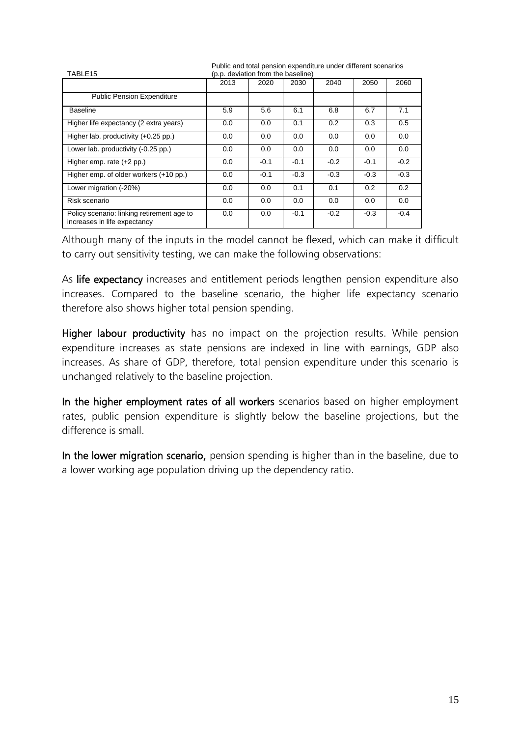| TABLE15                                                                    | <b>I</b> abilo and total ponoion oxponantare andor allionoin occitance<br>(p.p. deviation from the baseline) |        |        |        |        |        |  |
|----------------------------------------------------------------------------|--------------------------------------------------------------------------------------------------------------|--------|--------|--------|--------|--------|--|
|                                                                            | 2013                                                                                                         | 2020   | 2030   | 2040   | 2050   | 2060   |  |
| <b>Public Pension Expenditure</b>                                          |                                                                                                              |        |        |        |        |        |  |
| <b>Baseline</b>                                                            | 5.9                                                                                                          | 5.6    | 6.1    | 6.8    | 6.7    | 7.1    |  |
| Higher life expectancy (2 extra years)                                     | 0.0                                                                                                          | 0.0    | 0.1    | 0.2    | 0.3    | 0.5    |  |
| Higher lab. productivity (+0.25 pp.)                                       | 0.0                                                                                                          | 0.0    | 0.0    | 0.0    | 0.0    | 0.0    |  |
| Lower lab. productivity (-0.25 pp.)                                        | 0.0                                                                                                          | 0.0    | 0.0    | 0.0    | 0.0    | 0.0    |  |
| Higher emp. rate $(+2$ pp.)                                                | 0.0                                                                                                          | $-0.1$ | $-0.1$ | $-0.2$ | $-0.1$ | $-0.2$ |  |
| Higher emp. of older workers (+10 pp.)                                     | 0.0                                                                                                          | $-0.1$ | $-0.3$ | $-0.3$ | $-0.3$ | $-0.3$ |  |
| Lower migration (-20%)                                                     | 0.0                                                                                                          | 0.0    | 0.1    | 0.1    | 0.2    | 0.2    |  |
| Risk scenario                                                              | 0.0                                                                                                          | 0.0    | 0.0    | 0.0    | 0.0    | 0.0    |  |
| Policy scenario: linking retirement age to<br>increases in life expectancy | 0.0                                                                                                          | 0.0    | $-0.1$ | $-0.2$ | $-0.3$ | $-0.4$ |  |

Public and total pension expenditure under different scenarios

Although many of the inputs in the model cannot be flexed, which can make it difficult to carry out sensitivity testing, we can make the following observations:

As life expectancy increases and entitlement periods lengthen pension expenditure also increases. Compared to the baseline scenario, the higher life expectancy scenario therefore also shows higher total pension spending.

Higher labour productivity has no impact on the projection results. While pension expenditure increases as state pensions are indexed in line with earnings, GDP also increases. As share of GDP, therefore, total pension expenditure under this scenario is unchanged relatively to the baseline projection.

In the higher employment rates of all workers scenarios based on higher employment rates, public pension expenditure is slightly below the baseline projections, but the difference is small.

In the lower migration scenario, pensi*o*n spending is higher than in the baseline, due to a lower working age population driving up the dependency ratio.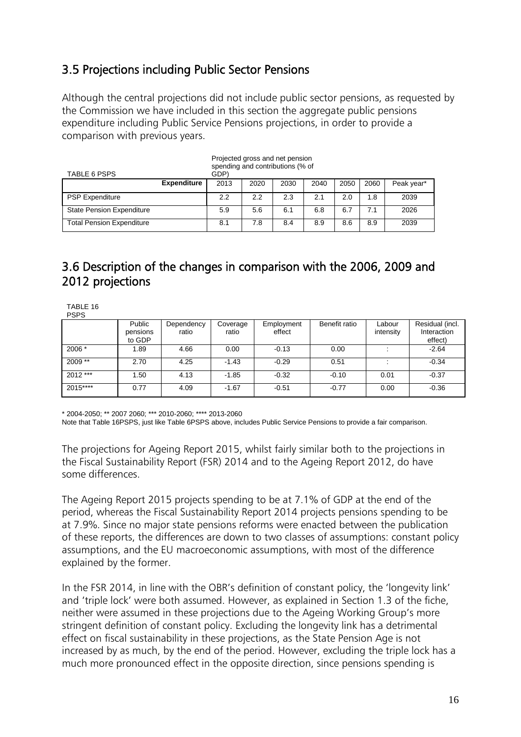## 3.5 Projections including Public Sector Pensions

Although the central projections did not include public sector pensions, as requested by the Commission we have included in this section the aggregate public pensions expenditure including Public Service Pensions projections, in order to provide a comparison with previous years.

| TABLE 6 PSPS                     | Projected gross and net pension<br>spending and contributions (% of<br>GDP) |      |      |      |      |      |      |            |
|----------------------------------|-----------------------------------------------------------------------------|------|------|------|------|------|------|------------|
|                                  | <b>Expenditure</b>                                                          | 2013 | 2020 | 2030 | 2040 | 2050 | 2060 | Peak year* |
| <b>PSP Expenditure</b>           |                                                                             | 2.2  | 2.2  | 2.3  | 2.1  | 2.0  | 1.8  | 2039       |
| <b>State Pension Expenditure</b> |                                                                             | 5.9  | 5.6  | 6.1  | 6.8  | 6.7  | 7.1  | 2026       |
| <b>Total Pension Expenditure</b> |                                                                             | 8.1  | 7.8  | 8.4  | 8.9  | 8.6  | 8.9  | 2039       |

## 3.6 Description of the changes in comparison with the 2006, 2009 and 2012 projections

TABLE 16 PSPS Public pensions to GDP **Dependency** ratio Coverage ratio **Employment** effect Benefit ratio Labour intensity Residual (incl. Interaction effect) 2006 \* 1.89 4.66 0.00 -0.13 0.00 : -2.64 2009 \*\* 2.70 4.25 -1.43 -0.29 0.51 : -0.34 2012 \*\*\* 1.50 4.13 -1.85 -0.32 -0.10 0.01 -0.37 2015\*\*\*\* 0.77 4.09 -1.67 -0.51 -0.77 0.00 -0.36

\* 2004-2050; \*\* 2007 2060; \*\*\* 2010-2060; \*\*\*\* 2013-2060

Note that Table 16PSPS, just like Table 6PSPS above, includes Public Service Pensions to provide a fair comparison.

The projections for Ageing Report 2015, whilst fairly similar both to the projections in the Fiscal Sustainability Report (FSR) 2014 and to the Ageing Report 2012, do have some differences.

The Ageing Report 2015 projects spending to be at 7.1% of GDP at the end of the period, whereas the Fiscal Sustainability Report 2014 projects pensions spending to be at 7.9%. Since no major state pensions reforms were enacted between the publication of these reports, the differences are down to two classes of assumptions: constant policy assumptions, and the EU macroeconomic assumptions, with most of the difference explained by the former.

In the FSR 2014, in line with the OBR's definition of constant policy, the 'longevity link' and 'triple lock' were both assumed. However, as explained in Section 1.3 of the fiche, neither were assumed in these projections due to the Ageing Working Group's more stringent definition of constant policy. Excluding the longevity link has a detrimental effect on fiscal sustainability in these projections, as the State Pension Age is not increased by as much, by the end of the period. However, excluding the triple lock has a much more pronounced effect in the opposite direction, since pensions spending is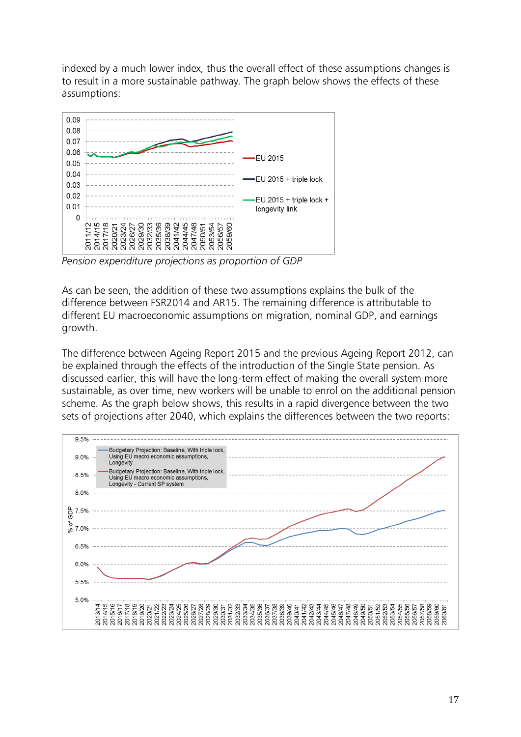indexed by a much lower index, thus the overall effect of these assumptions changes is to result in a more sustainable pathway. The graph below shows the effects of these assumptions:



*Pension expenditure projections as proportion of GDP*

As can be seen, the addition of these two assumptions explains the bulk of the difference between FSR2014 and AR15. The remaining difference is attributable to different EU macroeconomic assumptions on migration, nominal GDP, and earnings growth.

The difference between Ageing Report 2015 and the previous Ageing Report 2012, can be explained through the effects of the introduction of the Single State pension. As discussed earlier, this will have the long-term effect of making the overall system more sustainable, as over time, new workers will be unable to enrol on the additional pension scheme. As the graph below shows, this results in a rapid divergence between the two sets of projections after 2040, which explains the differences between the two reports:

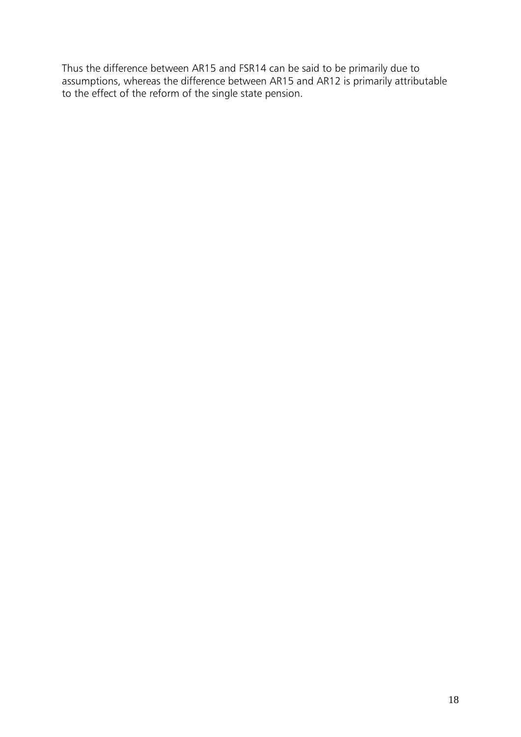Thus the difference between AR15 and FSR14 can be said to be primarily due to assumptions, whereas the difference between AR15 and AR12 is primarily attributable to the effect of the reform of the single state pension.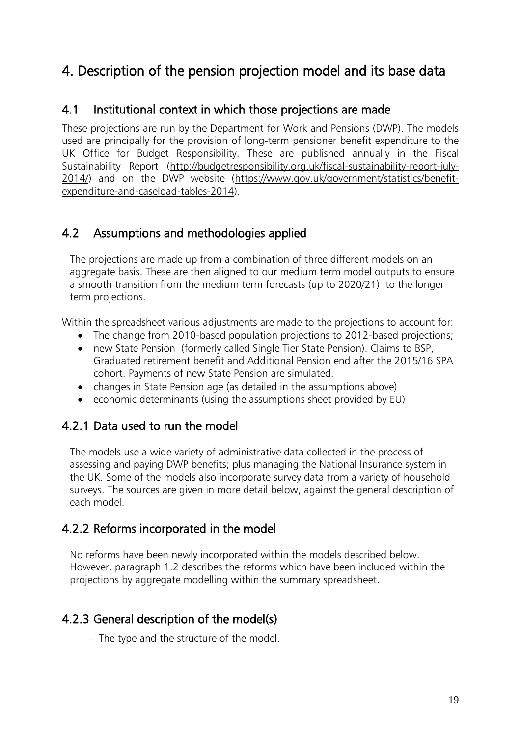# 4. Description of the pension projection model and its base data

### 4.1 Institutional context in which those projections are made

These projections are run by the Department for Work and Pensions (DWP). The models used are principally for the provision of long-term pensioner benefit expenditure to the UK Office for Budget Responsibility. These are published annually in the Fiscal Sustainability Report [\(http://budgetresponsibility.org.uk/fiscal-sustainability-report-july-](http://budgetresponsibility.org.uk/fiscal-sustainability-report-july-2014/)[2014/\)](http://budgetresponsibility.org.uk/fiscal-sustainability-report-july-2014/) and on the DWP website [\(https://www.gov.uk/government/statistics/benefit](https://www.gov.uk/government/statistics/benefit-expenditure-and-caseload-tables-2014)[expenditure-and-caseload-tables-2014\)](https://www.gov.uk/government/statistics/benefit-expenditure-and-caseload-tables-2014).

### 4.2 Assumptions and methodologies applied

The projections are made up from a combination of three different models on an aggregate basis. These are then aligned to our medium term model outputs to ensure a smooth transition from the medium term forecasts (up to 2020/21) to the longer term projections.

Within the spreadsheet various adjustments are made to the projections to account for:

- The change from 2010-based population projections to 2012-based projections;
- new State Pension (formerly called Single Tier State Pension). Claims to BSP, Graduated retirement benefit and Additional Pension end after the 2015/16 SPA cohort. Payments of new State Pension are simulated.
- changes in State Pension age (as detailed in the assumptions above)
- economic determinants (using the assumptions sheet provided by EU)

## 4.2.1 Data used to run the model

The models use a wide variety of administrative data collected in the process of assessing and paying DWP benefits; plus managing the National Insurance system in the UK. Some of the models also incorporate survey data from a variety of household surveys. The sources are given in more detail below, against the general description of each model.

### 4.2.2 Reforms incorporated in the model

No reforms have been newly incorporated within the models described below. However, paragraph 1.2 describes the reforms which have been included within the projections by aggregate modelling within the summary spreadsheet.

## 4.2.3 General description of the model(s)

- The type and the structure of the model.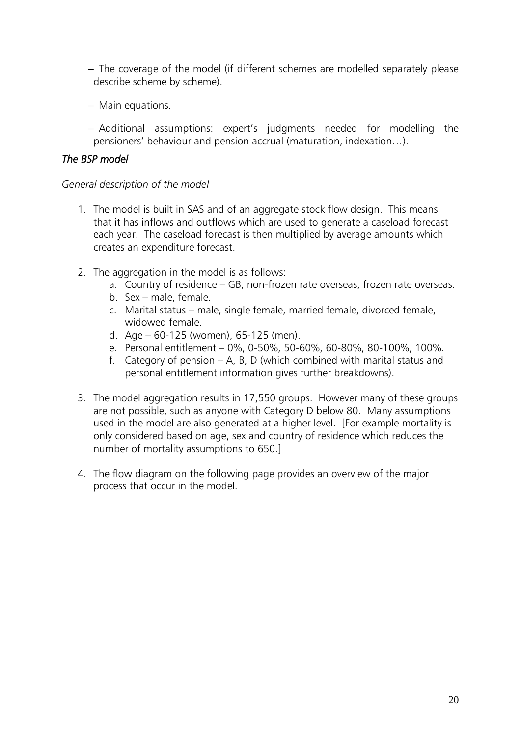- The coverage of the model (if different schemes are modelled separately please describe scheme by scheme).
- Main equations.
- Additional assumptions: expert's judgments needed for modelling the pensioners' behaviour and pension accrual (maturation, indexation…).

### *The BSP model*

### *General description of the model*

- 1. The model is built in SAS and of an aggregate stock flow design. This means that it has inflows and outflows which are used to generate a caseload forecast each year. The caseload forecast is then multiplied by average amounts which creates an expenditure forecast.
- 2. The aggregation in the model is as follows:
	- a. Country of residence GB, non-frozen rate overseas, frozen rate overseas.
	- b. Sex male, female.
	- c. Marital status male, single female, married female, divorced female, widowed female.
	- d. Age 60-125 (women), 65-125 (men).
	- e. Personal entitlement 0%, 0-50%, 50-60%, 60-80%, 80-100%, 100%.
	- f. Category of pension  $A$ , B, D (which combined with marital status and personal entitlement information gives further breakdowns).
- 3. The model aggregation results in 17,550 groups. However many of these groups are not possible, such as anyone with Category D below 80. Many assumptions used in the model are also generated at a higher level. [For example mortality is only considered based on age, sex and country of residence which reduces the number of mortality assumptions to 650.]
- 4. The flow diagram on the following page provides an overview of the major process that occur in the model.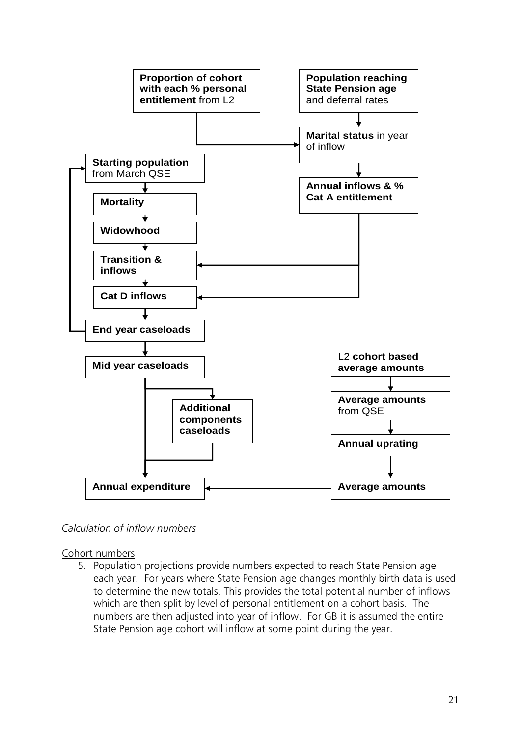

#### *Calculation of inflow numbers*

Cohort numbers

5. Population projections provide numbers expected to reach State Pension age each year. For years where State Pension age changes monthly birth data is used to determine the new totals. This provides the total potential number of inflows which are then split by level of personal entitlement on a cohort basis. The numbers are then adjusted into year of inflow. For GB it is assumed the entire State Pension age cohort will inflow at some point during the year.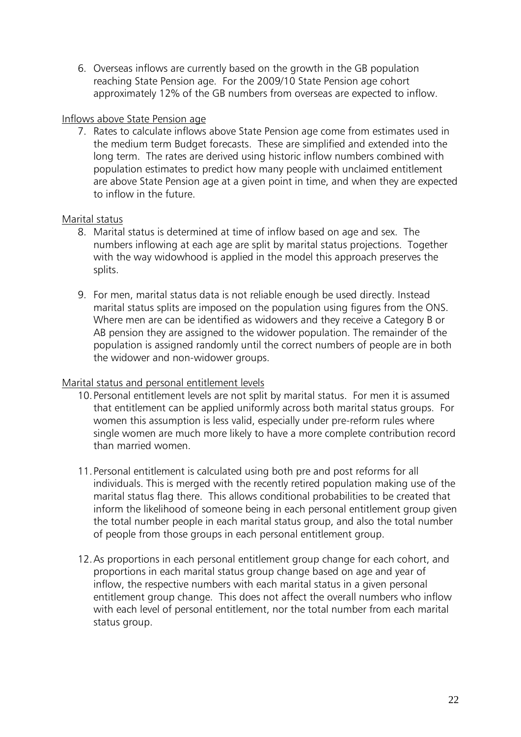6. Overseas inflows are currently based on the growth in the GB population reaching State Pension age. For the 2009/10 State Pension age cohort approximately 12% of the GB numbers from overseas are expected to inflow.

#### Inflows above State Pension age

7. Rates to calculate inflows above State Pension age come from estimates used in the medium term Budget forecasts. These are simplified and extended into the long term. The rates are derived using historic inflow numbers combined with population estimates to predict how many people with unclaimed entitlement are above State Pension age at a given point in time, and when they are expected to inflow in the future.

### Marital status

- 8. Marital status is determined at time of inflow based on age and sex. The numbers inflowing at each age are split by marital status projections. Together with the way widowhood is applied in the model this approach preserves the splits.
- 9. For men, marital status data is not reliable enough be used directly. Instead marital status splits are imposed on the population using figures from the ONS. Where men are can be identified as widowers and they receive a Category B or AB pension they are assigned to the widower population. The remainder of the population is assigned randomly until the correct numbers of people are in both the widower and non-widower groups.

### Marital status and personal entitlement levels

- 10.Personal entitlement levels are not split by marital status. For men it is assumed that entitlement can be applied uniformly across both marital status groups. For women this assumption is less valid, especially under pre-reform rules where single women are much more likely to have a more complete contribution record than married women.
- 11.Personal entitlement is calculated using both pre and post reforms for all individuals. This is merged with the recently retired population making use of the marital status flag there. This allows conditional probabilities to be created that inform the likelihood of someone being in each personal entitlement group given the total number people in each marital status group, and also the total number of people from those groups in each personal entitlement group.
- 12.As proportions in each personal entitlement group change for each cohort, and proportions in each marital status group change based on age and year of inflow, the respective numbers with each marital status in a given personal entitlement group change. This does not affect the overall numbers who inflow with each level of personal entitlement, nor the total number from each marital status group.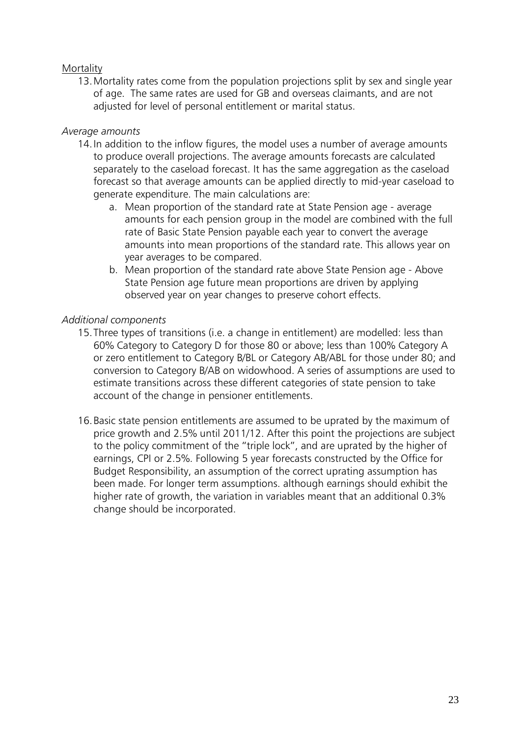#### Mortality

13.Mortality rates come from the population projections split by sex and single year of age. The same rates are used for GB and overseas claimants, and are not adjusted for level of personal entitlement or marital status.

#### *Average amounts*

- 14.In addition to the inflow figures, the model uses a number of average amounts to produce overall projections. The average amounts forecasts are calculated separately to the caseload forecast. It has the same aggregation as the caseload forecast so that average amounts can be applied directly to mid-year caseload to generate expenditure. The main calculations are:
	- a. Mean proportion of the standard rate at State Pension age average amounts for each pension group in the model are combined with the full rate of Basic State Pension payable each year to convert the average amounts into mean proportions of the standard rate. This allows year on year averages to be compared.
	- b. Mean proportion of the standard rate above State Pension age Above State Pension age future mean proportions are driven by applying observed year on year changes to preserve cohort effects.

#### *Additional components*

- 15.Three types of transitions (i.e. a change in entitlement) are modelled: less than 60% Category to Category D for those 80 or above; less than 100% Category A or zero entitlement to Category B/BL or Category AB/ABL for those under 80; and conversion to Category B/AB on widowhood. A series of assumptions are used to estimate transitions across these different categories of state pension to take account of the change in pensioner entitlements.
- 16.Basic state pension entitlements are assumed to be uprated by the maximum of price growth and 2.5% until 2011/12. After this point the projections are subject to the policy commitment of the "triple lock", and are uprated by the higher of earnings, CPI or 2.5%. Following 5 year forecasts constructed by the Office for Budget Responsibility, an assumption of the correct uprating assumption has been made. For longer term assumptions. although earnings should exhibit the higher rate of growth, the variation in variables meant that an additional 0.3% change should be incorporated.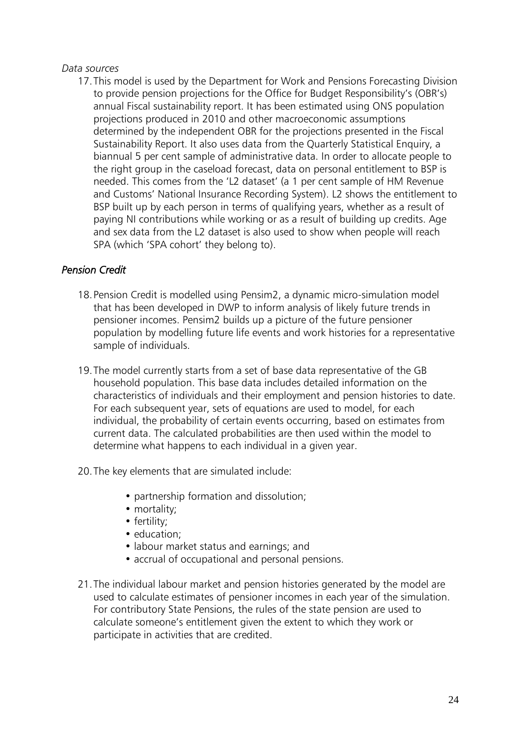#### *Data sources*

17.This model is used by the Department for Work and Pensions Forecasting Division to provide pension projections for the Office for Budget Responsibility's (OBR's) annual Fiscal sustainability report. It has been estimated using ONS population projections produced in 2010 and other macroeconomic assumptions determined by the independent OBR for the projections presented in the Fiscal Sustainability Report. It also uses data from the Quarterly Statistical Enquiry, a biannual 5 per cent sample of administrative data. In order to allocate people to the right group in the caseload forecast, data on personal entitlement to BSP is needed. This comes from the 'L2 dataset' (a 1 per cent sample of HM Revenue and Customs' National Insurance Recording System). L2 shows the entitlement to BSP built up by each person in terms of qualifying years, whether as a result of paying NI contributions while working or as a result of building up credits. Age and sex data from the L2 dataset is also used to show when people will reach SPA (which 'SPA cohort' they belong to).

#### *Pension Credit*

- 18.Pension Credit is modelled using Pensim2, a dynamic micro-simulation model that has been developed in DWP to inform analysis of likely future trends in pensioner incomes. Pensim2 builds up a picture of the future pensioner population by modelling future life events and work histories for a representative sample of individuals.
- 19.The model currently starts from a set of base data representative of the GB household population. This base data includes detailed information on the characteristics of individuals and their employment and pension histories to date. For each subsequent year, sets of equations are used to model, for each individual, the probability of certain events occurring, based on estimates from current data. The calculated probabilities are then used within the model to determine what happens to each individual in a given year.
- 20.The key elements that are simulated include:
	- partnership formation and dissolution;
	- mortality;
	- fertility;
	- education:
	- labour market status and earnings; and
	- accrual of occupational and personal pensions.
- 21.The individual labour market and pension histories generated by the model are used to calculate estimates of pensioner incomes in each year of the simulation. For contributory State Pensions, the rules of the state pension are used to calculate someone's entitlement given the extent to which they work or participate in activities that are credited.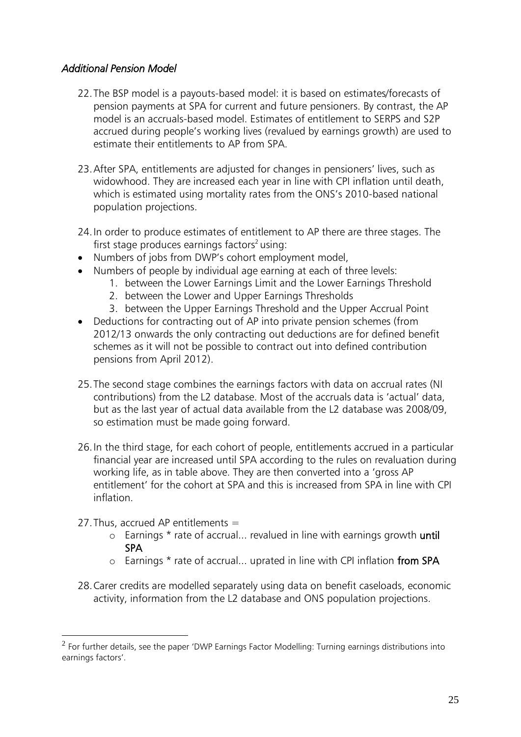### *Additional Pension Model*

- 22.The BSP model is a payouts-based model: it is based on estimates/forecasts of pension payments at SPA for current and future pensioners. By contrast, the AP model is an accruals-based model. Estimates of entitlement to SERPS and S2P accrued during people's working lives (revalued by earnings growth) are used to estimate their entitlements to AP from SPA.
- 23.After SPA, entitlements are adjusted for changes in pensioners' lives, such as widowhood. They are increased each year in line with CPI inflation until death, which is estimated using mortality rates from the ONS's 2010-based national population projections.
- 24.In order to produce estimates of entitlement to AP there are three stages. The first stage produces earnings factors<sup>2</sup> using:
- Numbers of jobs from DWP's cohort employment model,
- Numbers of people by individual age earning at each of three levels:
	- 1. between the Lower Earnings Limit and the Lower Earnings Threshold
	- 2. between the Lower and Upper Earnings Thresholds
	- 3. between the Upper Earnings Threshold and the Upper Accrual Point
- Deductions for contracting out of AP into private pension schemes (from 2012/13 onwards the only contracting out deductions are for defined benefit schemes as it will not be possible to contract out into defined contribution pensions from April 2012).
- 25.The second stage combines the earnings factors with data on accrual rates (NI contributions) from the L2 database. Most of the accruals data is 'actual' data, but as the last year of actual data available from the L2 database was 2008/09, so estimation must be made going forward.
- 26.In the third stage, for each cohort of people, entitlements accrued in a particular financial year are increased until SPA according to the rules on revaluation during working life, as in table above. They are then converted into a 'gross AP entitlement' for the cohort at SPA and this is increased from SPA in line with CPI inflation.
- 27. Thus, accrued AP entitlements  $=$

<u>.</u>

- o Earnings \* rate of accrual... revalued in line with earnings growth until SPA
- o Earnings \* rate of accrual... uprated in line with CPI inflation from SPA
- 28.Carer credits are modelled separately using data on benefit caseloads, economic activity, information from the L2 database and ONS population projections.

 $^2$  For further details, see the paper 'DWP Earnings Factor Modelling: Turning earnings distributions into earnings factors'.